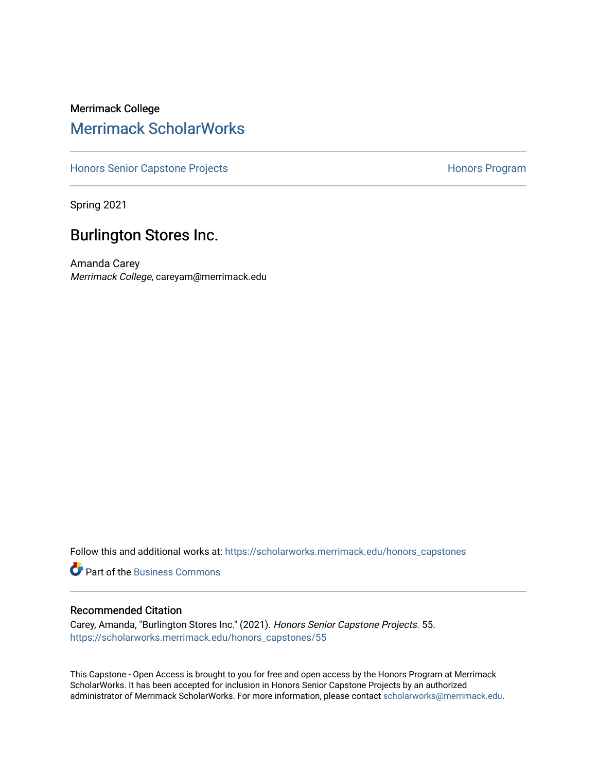# Merrimack College [Merrimack ScholarWorks](https://scholarworks.merrimack.edu/)

[Honors Senior Capstone Projects](https://scholarworks.merrimack.edu/honors_capstones) **Honors Program** Honors Program

Spring 2021

# Burlington Stores Inc.

Amanda Carey Merrimack College, careyam@merrimack.edu

Follow this and additional works at: [https://scholarworks.merrimack.edu/honors\\_capstones](https://scholarworks.merrimack.edu/honors_capstones?utm_source=scholarworks.merrimack.edu%2Fhonors_capstones%2F55&utm_medium=PDF&utm_campaign=PDFCoverPages)

**C** Part of the [Business Commons](http://network.bepress.com/hgg/discipline/622?utm_source=scholarworks.merrimack.edu%2Fhonors_capstones%2F55&utm_medium=PDF&utm_campaign=PDFCoverPages)

# Recommended Citation

Carey, Amanda, "Burlington Stores Inc." (2021). Honors Senior Capstone Projects. 55. [https://scholarworks.merrimack.edu/honors\\_capstones/55](https://scholarworks.merrimack.edu/honors_capstones/55?utm_source=scholarworks.merrimack.edu%2Fhonors_capstones%2F55&utm_medium=PDF&utm_campaign=PDFCoverPages) 

This Capstone - Open Access is brought to you for free and open access by the Honors Program at Merrimack ScholarWorks. It has been accepted for inclusion in Honors Senior Capstone Projects by an authorized administrator of Merrimack ScholarWorks. For more information, please contact [scholarworks@merrimack.edu](mailto:scholarworks@merrimack.edu).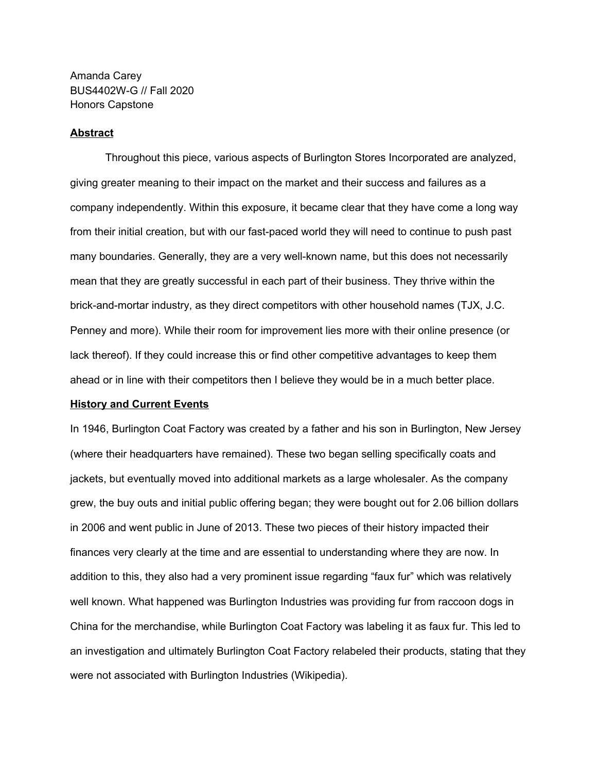Amanda Carey BUS4402W-G // Fall 2020 Honors Capstone

## **Abstract**

Throughout this piece, various aspects of Burlington Stores Incorporated are analyzed, giving greater meaning to their impact on the market and their success and failures as a company independently. Within this exposure, it became clear that they have come a long way from their initial creation, but with our fast-paced world they will need to continue to push past many boundaries. Generally, they are a very well-known name, but this does not necessarily mean that they are greatly successful in each part of their business. They thrive within the brick-and-mortar industry, as they direct competitors with other household names (TJX, J.C. Penney and more). While their room for improvement lies more with their online presence (or lack thereof). If they could increase this or find other competitive advantages to keep them ahead or in line with their competitors then I believe they would be in a much better place.

### **History and Current Events**

In 1946, Burlington Coat Factory was created by a father and his son in Burlington, New Jersey (where their headquarters have remained). These two began selling specifically coats and jackets, but eventually moved into additional markets as a large wholesaler. As the company grew, the buy outs and initial public offering began; they were bought out for 2.06 billion dollars in 2006 and went public in June of 2013. These two pieces of their history impacted their finances very clearly at the time and are essential to understanding where they are now. In addition to this, they also had a very prominent issue regarding "faux fur" which was relatively well known. What happened was Burlington Industries was providing fur from raccoon dogs in China for the merchandise, while Burlington Coat Factory was labeling it as faux fur. This led to an investigation and ultimately Burlington Coat Factory relabeled their products, stating that they were not associated with Burlington Industries (Wikipedia).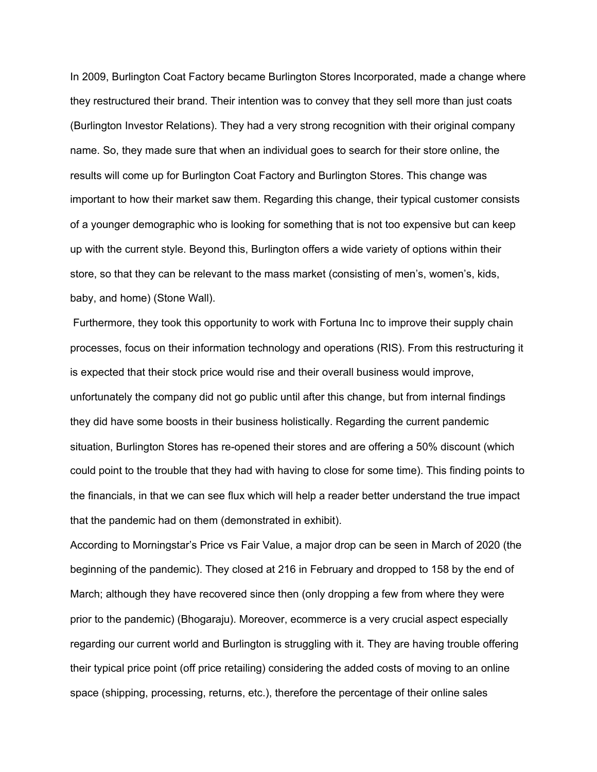In 2009, Burlington Coat Factory became Burlington Stores Incorporated, made a change where they restructured their brand. Their intention was to convey that they sell more than just coats (Burlington Investor Relations). They had a very strong recognition with their original company name. So, they made sure that when an individual goes to search for their store online, the results will come up for Burlington Coat Factory and Burlington Stores. This change was important to how their market saw them. Regarding this change, their typical customer consists of a younger demographic who is looking for something that is not too expensive but can keep up with the current style. Beyond this, Burlington offers a wide variety of options within their store, so that they can be relevant to the mass market (consisting of men's, women's, kids, baby, and home) (Stone Wall).

Furthermore, they took this opportunity to work with Fortuna Inc to improve their supply chain processes, focus on their information technology and operations (RIS). From this restructuring it is expected that their stock price would rise and their overall business would improve, unfortunately the company did not go public until after this change, but from internal findings they did have some boosts in their business holistically. Regarding the current pandemic situation, Burlington Stores has re-opened their stores and are offering a 50% discount (which could point to the trouble that they had with having to close for some time). This finding points to the financials, in that we can see flux which will help a reader better understand the true impact that the pandemic had on them (demonstrated in exhibit).

According to Morningstar's Price vs Fair Value, a major drop can be seen in March of 2020 (the beginning of the pandemic). They closed at 216 in February and dropped to 158 by the end of March; although they have recovered since then (only dropping a few from where they were prior to the pandemic) (Bhogaraju). Moreover, ecommerce is a very crucial aspect especially regarding our current world and Burlington is struggling with it. They are having trouble offering their typical price point (off price retailing) considering the added costs of moving to an online space (shipping, processing, returns, etc.), therefore the percentage of their online sales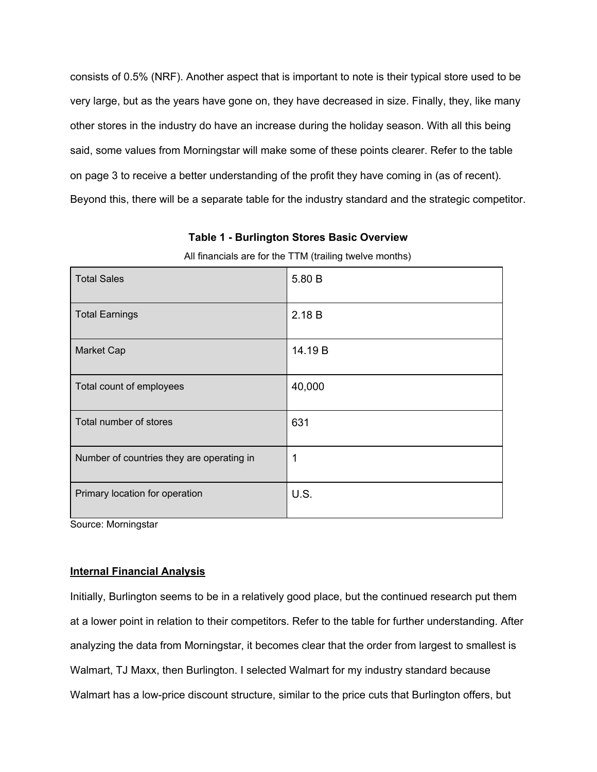consists of 0.5% (NRF). Another aspect that is important to note is their typical store used to be very large, but as the years have gone on, they have decreased in size. Finally, they, like many other stores in the industry do have an increase during the holiday season. With all this being said, some values from Morningstar will make some of these points clearer. Refer to the table on page 3 to receive a better understanding of the profit they have coming in (as of recent). Beyond this, there will be a separate table for the industry standard and the strategic competitor.

| <b>Total Sales</b>                        | 5.80 B  |
|-------------------------------------------|---------|
| <b>Total Earnings</b>                     | 2.18B   |
| Market Cap                                | 14.19 B |
| Total count of employees                  | 40,000  |
| Total number of stores                    | 631     |
| Number of countries they are operating in | 1       |
| Primary location for operation            | U.S.    |

**Table 1 - Burlington Stores Basic Overview**

All financials are for the TTM (trailing twelve months)

Source: Morningstar

### **Internal Financial Analysis**

Initially, Burlington seems to be in a relatively good place, but the continued research put them at a lower point in relation to their competitors. Refer to the table for further understanding. After analyzing the data from Morningstar, it becomes clear that the order from largest to smallest is Walmart, TJ Maxx, then Burlington. I selected Walmart for my industry standard because Walmart has a low-price discount structure, similar to the price cuts that Burlington offers, but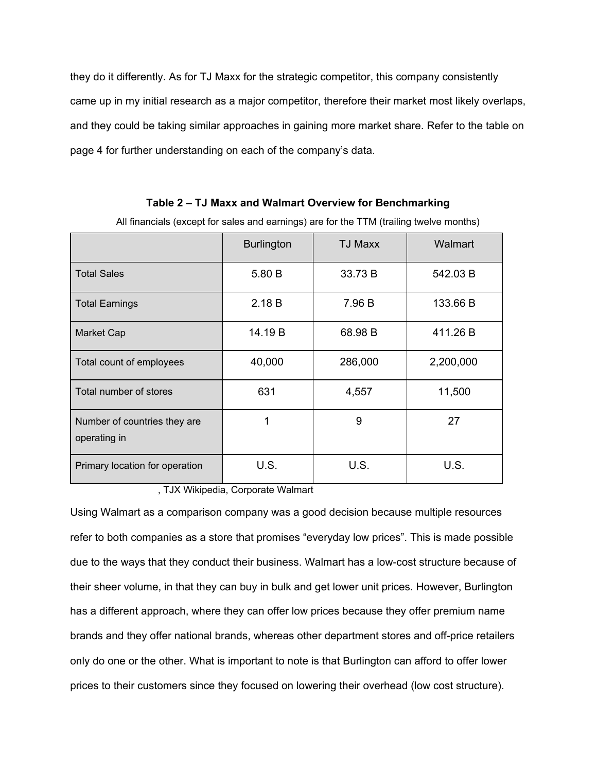they do it differently. As for TJ Maxx for the strategic competitor, this company consistently came up in my initial research as a major competitor, therefore their market most likely overlaps, and they could be taking similar approaches in gaining more market share. Refer to the table on page 4 for further understanding on each of the company's data.

# **Table 2 – TJ Maxx and Walmart Overview for Benchmarking**

|                                              | <b>Burlington</b> | <b>TJ Maxx</b> | Walmart   |
|----------------------------------------------|-------------------|----------------|-----------|
| <b>Total Sales</b>                           | 5.80 B            | 33.73 B        | 542.03 B  |
| <b>Total Earnings</b>                        | 2.18B             | 7.96 B         | 133.66 B  |
| <b>Market Cap</b>                            | 14.19 B           | 68.98 B        | 411.26 B  |
| Total count of employees                     | 40,000            | 286,000        | 2,200,000 |
| Total number of stores                       | 631               | 4,557          | 11,500    |
| Number of countries they are<br>operating in | 1                 | 9              | 27        |
| Primary location for operation               | U.S.              | U.S.           | U.S.      |

All financials (except for sales and earnings) are for the TTM (trailing twelve months)

, TJX Wikipedia, Corporate Walmart

Using Walmart as a comparison company was a good decision because multiple resources refer to both companies as a store that promises "everyday low prices". This is made possible due to the ways that they conduct their business. Walmart has a low-cost structure because of their sheer volume, in that they can buy in bulk and get lower unit prices. However, Burlington has a different approach, where they can offer low prices because they offer premium name brands and they offer national brands, whereas other department stores and off-price retailers only do one or the other. What is important to note is that Burlington can afford to offer lower prices to their customers since they focused on lowering their overhead (low cost structure).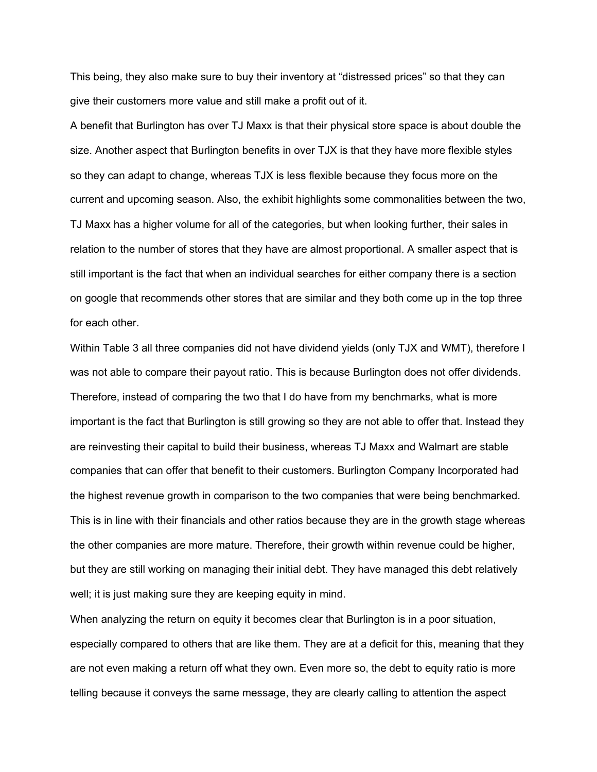This being, they also make sure to buy their inventory at "distressed prices" so that they can give their customers more value and still make a profit out of it.

A benefit that Burlington has over TJ Maxx is that their physical store space is about double the size. Another aspect that Burlington benefits in over TJX is that they have more flexible styles so they can adapt to change, whereas TJX is less flexible because they focus more on the current and upcoming season. Also, the exhibit highlights some commonalities between the two, TJ Maxx has a higher volume for all of the categories, but when looking further, their sales in relation to the number of stores that they have are almost proportional. A smaller aspect that is still important is the fact that when an individual searches for either company there is a section on google that recommends other stores that are similar and they both come up in the top three for each other.

Within Table 3 all three companies did not have dividend yields (only TJX and WMT), therefore I was not able to compare their payout ratio. This is because Burlington does not offer dividends. Therefore, instead of comparing the two that I do have from my benchmarks, what is more important is the fact that Burlington is still growing so they are not able to offer that. Instead they are reinvesting their capital to build their business, whereas TJ Maxx and Walmart are stable companies that can offer that benefit to their customers. Burlington Company Incorporated had the highest revenue growth in comparison to the two companies that were being benchmarked. This is in line with their financials and other ratios because they are in the growth stage whereas the other companies are more mature. Therefore, their growth within revenue could be higher, but they are still working on managing their initial debt. They have managed this debt relatively well; it is just making sure they are keeping equity in mind.

When analyzing the return on equity it becomes clear that Burlington is in a poor situation, especially compared to others that are like them. They are at a deficit for this, meaning that they are not even making a return off what they own. Even more so, the debt to equity ratio is more telling because it conveys the same message, they are clearly calling to attention the aspect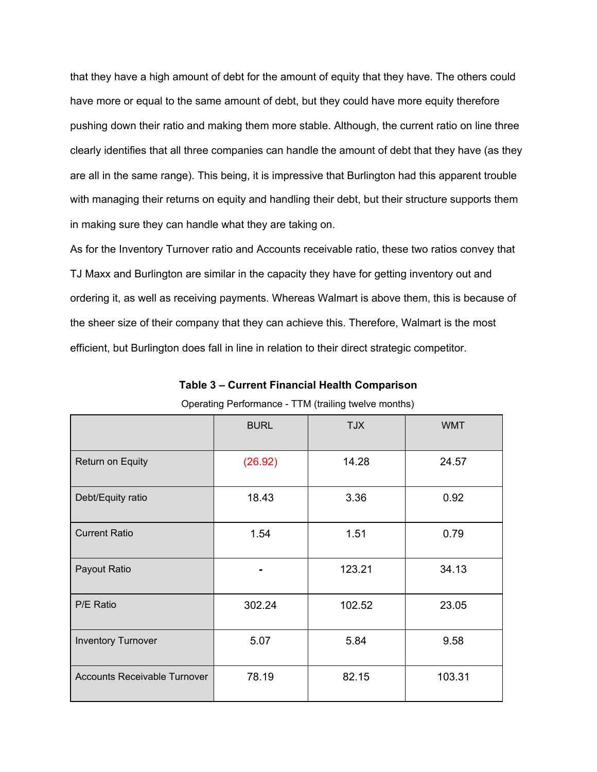that they have a high amount of debt for the amount of equity that they have. The others could have more or equal to the same amount of debt, but they could have more equity therefore pushing down their ratio and making them more stable. Although, the current ratio on line three clearly identifies that all three companies can handle the amount of debt that they have (as they are all in the same range). This being, it is impressive that Burlington had this apparent trouble with managing their returns on equity and handling their debt, but their structure supports them in making sure they can handle what they are taking on.

As for the Inventory Turnover ratio and Accounts receivable ratio, these two ratios convey that TJ Maxx and Burlington are similar in the capacity they have for getting inventory out and ordering it, as well as receiving payments. Whereas Walmart is above them, this is because of the sheer size of their company that they can achieve this. Therefore, Walmart is the most efficient, but Burlington does fall in line in relation to their direct strategic competitor.

**Table 3 – Current Financial Health Comparison**

|                                     | <b>BURL</b> | <b>TJX</b> | <b>WMT</b> |
|-------------------------------------|-------------|------------|------------|
| Return on Equity                    | (26.92)     | 14.28      | 24.57      |
| Debt/Equity ratio                   | 18.43       | 3.36       | 0.92       |
| <b>Current Ratio</b>                | 1.54        | 1.51       | 0.79       |
| Payout Ratio                        |             | 123.21     | 34.13      |
| P/E Ratio                           | 302.24      | 102.52     | 23.05      |
| <b>Inventory Turnover</b>           | 5.07        | 5.84       | 9.58       |
| <b>Accounts Receivable Turnover</b> | 78.19       | 82.15      | 103.31     |

Operating Performance - TTM (trailing twelve months)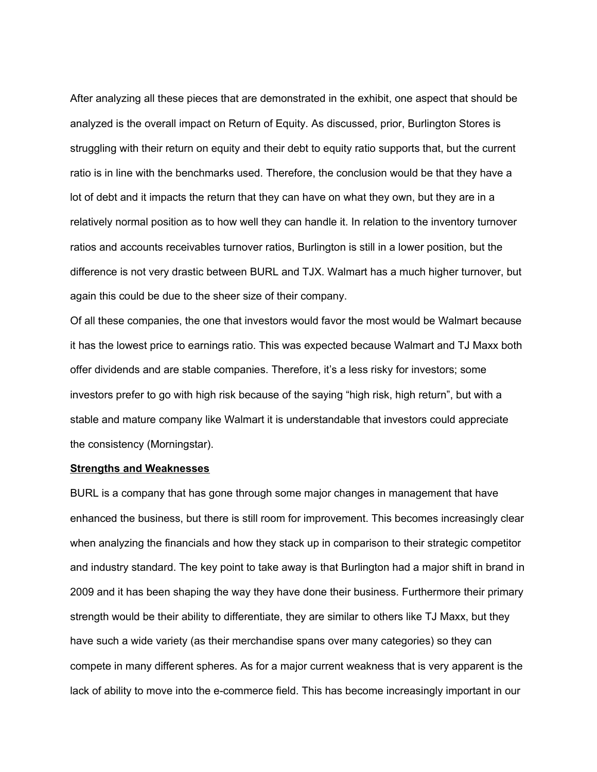After analyzing all these pieces that are demonstrated in the exhibit, one aspect that should be analyzed is the overall impact on Return of Equity. As discussed, prior, Burlington Stores is struggling with their return on equity and their debt to equity ratio supports that, but the current ratio is in line with the benchmarks used. Therefore, the conclusion would be that they have a lot of debt and it impacts the return that they can have on what they own, but they are in a relatively normal position as to how well they can handle it. In relation to the inventory turnover ratios and accounts receivables turnover ratios, Burlington is still in a lower position, but the difference is not very drastic between BURL and TJX. Walmart has a much higher turnover, but again this could be due to the sheer size of their company.

Of all these companies, the one that investors would favor the most would be Walmart because it has the lowest price to earnings ratio. This was expected because Walmart and TJ Maxx both offer dividends and are stable companies. Therefore, it's a less risky for investors; some investors prefer to go with high risk because of the saying "high risk, high return", but with a stable and mature company like Walmart it is understandable that investors could appreciate the consistency (Morningstar).

#### **Strengths and Weaknesses**

BURL is a company that has gone through some major changes in management that have enhanced the business, but there is still room for improvement. This becomes increasingly clear when analyzing the financials and how they stack up in comparison to their strategic competitor and industry standard. The key point to take away is that Burlington had a major shift in brand in 2009 and it has been shaping the way they have done their business. Furthermore their primary strength would be their ability to differentiate, they are similar to others like TJ Maxx, but they have such a wide variety (as their merchandise spans over many categories) so they can compete in many different spheres. As for a major current weakness that is very apparent is the lack of ability to move into the e-commerce field. This has become increasingly important in our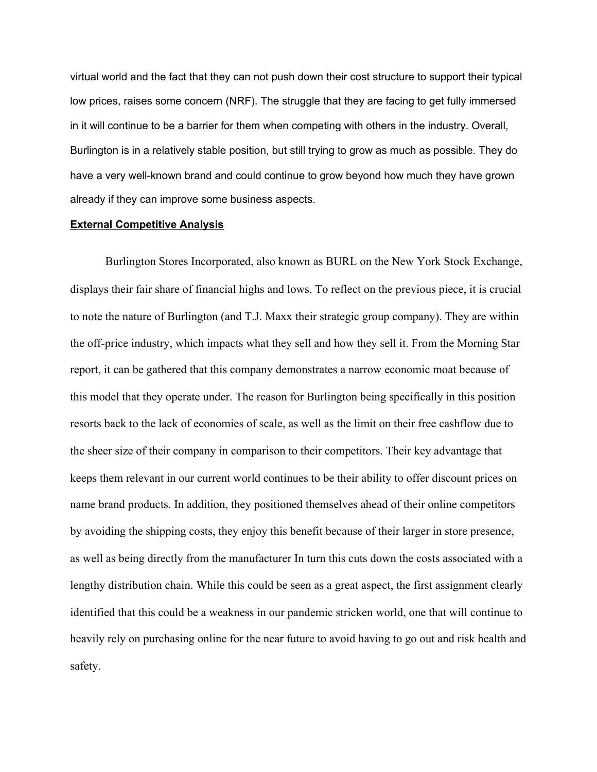virtual world and the fact that they can not push down their cost structure to support their typical low prices, raises some concern (NRF). The struggle that they are facing to get fully immersed in it will continue to be a barrier for them when competing with others in the industry. Overall, Burlington is in a relatively stable position, but still trying to grow as much as possible. They do have a very well-known brand and could continue to grow beyond how much they have grown already if they can improve some business aspects.

## **External Competitive Analysis**

Burlington Stores Incorporated, also known as BURL on the New York Stock Exchange, displays their fair share of financial highs and lows. To reflect on the previous piece, it is crucial to note the nature of Burlington (and T.J. Maxx their strategic group company). They are within the off-price industry, which impacts what they sell and how they sell it. From the Morning Star report, it can be gathered that this company demonstrates a narrow economic moat because of this model that they operate under. The reason for Burlington being specifically in this position resorts back to the lack of economies of scale, as well as the limit on their free cashflow due to the sheer size of their company in comparison to their competitors. Their key advantage that keeps them relevant in our current world continues to be their ability to offer discount prices on name brand products. In addition, they positioned themselves ahead of their online competitors by avoiding the shipping costs, they enjoy this benefit because of their larger in store presence, as well as being directly from the manufacturer In turn this cuts down the costs associated with a lengthy distribution chain. While this could be seen as a great aspect, the first assignment clearly identified that this could be a weakness in our pandemic stricken world, one that will continue to heavily rely on purchasing online for the near future to avoid having to go out and risk health and safety.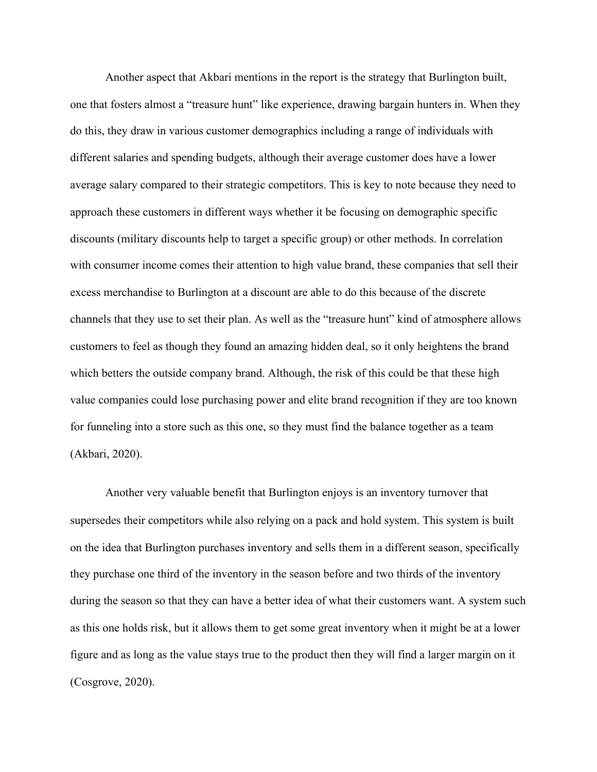Another aspect that Akbari mentions in the report is the strategy that Burlington built, one that fosters almost a "treasure hunt" like experience, drawing bargain hunters in. When they do this, they draw in various customer demographics including a range of individuals with different salaries and spending budgets, although their average customer does have a lower average salary compared to their strategic competitors. This is key to note because they need to approach these customers in different ways whether it be focusing on demographic specific discounts (military discounts help to target a specific group) or other methods. In correlation with consumer income comes their attention to high value brand, these companies that sell their excess merchandise to Burlington at a discount are able to do this because of the discrete channels that they use to set their plan. As well as the "treasure hunt" kind of atmosphere allows customers to feel as though they found an amazing hidden deal, so it only heightens the brand which betters the outside company brand. Although, the risk of this could be that these high value companies could lose purchasing power and elite brand recognition if they are too known for funneling into a store such as this one, so they must find the balance together as a team (Akbari, 2020).

Another very valuable benefit that Burlington enjoys is an inventory turnover that supersedes their competitors while also relying on a pack and hold system. This system is built on the idea that Burlington purchases inventory and sells them in a different season, specifically they purchase one third of the inventory in the season before and two thirds of the inventory during the season so that they can have a better idea of what their customers want. A system such as this one holds risk, but it allows them to get some great inventory when it might be at a lower figure and as long as the value stays true to the product then they will find a larger margin on it (Cosgrove, 2020).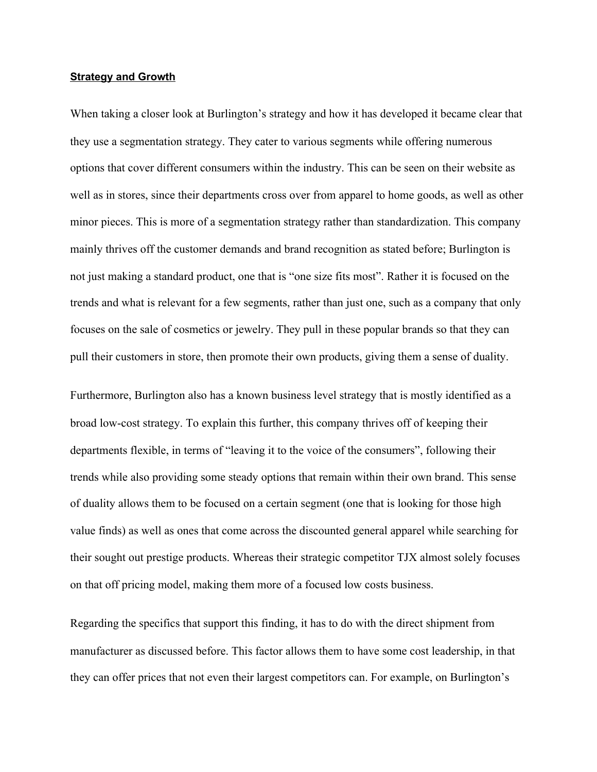## **Strategy and Growth**

When taking a closer look at Burlington's strategy and how it has developed it became clear that they use a segmentation strategy. They cater to various segments while offering numerous options that cover different consumers within the industry. This can be seen on their website as well as in stores, since their departments cross over from apparel to home goods, as well as other minor pieces. This is more of a segmentation strategy rather than standardization. This company mainly thrives off the customer demands and brand recognition as stated before; Burlington is not just making a standard product, one that is "one size fits most". Rather it is focused on the trends and what is relevant for a few segments, rather than just one, such as a company that only focuses on the sale of cosmetics or jewelry. They pull in these popular brands so that they can pull their customers in store, then promote their own products, giving them a sense of duality.

Furthermore, Burlington also has a known business level strategy that is mostly identified as a broad low-cost strategy. To explain this further, this company thrives off of keeping their departments flexible, in terms of "leaving it to the voice of the consumers", following their trends while also providing some steady options that remain within their own brand. This sense of duality allows them to be focused on a certain segment (one that is looking for those high value finds) as well as ones that come across the discounted general apparel while searching for their sought out prestige products. Whereas their strategic competitor TJX almost solely focuses on that off pricing model, making them more of a focused low costs business.

Regarding the specifics that support this finding, it has to do with the direct shipment from manufacturer as discussed before. This factor allows them to have some cost leadership, in that they can offer prices that not even their largest competitors can. For example, on Burlington's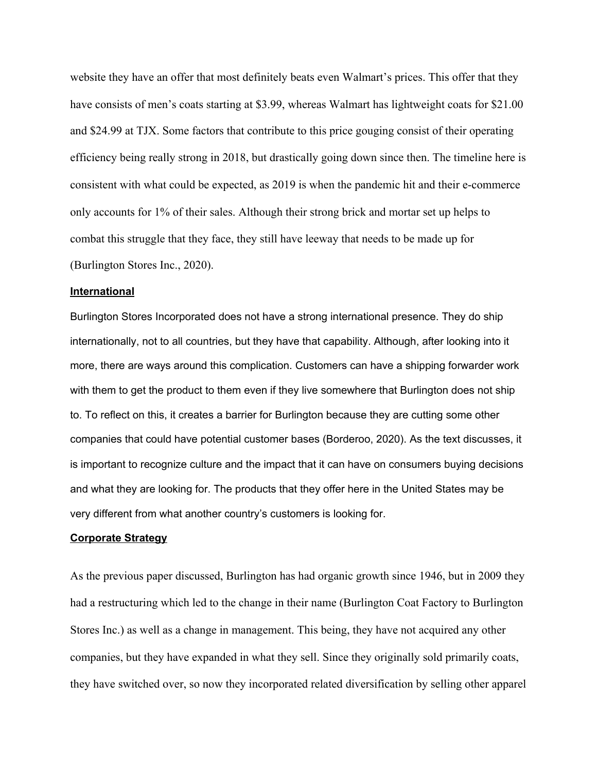website they have an offer that most definitely beats even Walmart's prices. This offer that they have consists of men's coats starting at \$3.99, whereas Walmart has lightweight coats for \$21.00 and \$24.99 at TJX. Some factors that contribute to this price gouging consist of their operating efficiency being really strong in 2018, but drastically going down since then. The timeline here is consistent with what could be expected, as 2019 is when the pandemic hit and their e-commerce only accounts for 1% of their sales. Although their strong brick and mortar set up helps to combat this struggle that they face, they still have leeway that needs to be made up for (Burlington Stores Inc., 2020).

# **International**

Burlington Stores Incorporated does not have a strong international presence. They do ship internationally, not to all countries, but they have that capability. Although, after looking into it more, there are ways around this complication. Customers can have a shipping forwarder work with them to get the product to them even if they live somewhere that Burlington does not ship to. To reflect on this, it creates a barrier for Burlington because they are cutting some other companies that could have potential customer bases (Borderoo, 2020). As the text discusses, it is important to recognize culture and the impact that it can have on consumers buying decisions and what they are looking for. The products that they offer here in the United States may be very different from what another country's customers is looking for.

### **Corporate Strategy**

As the previous paper discussed, Burlington has had organic growth since 1946, but in 2009 they had a restructuring which led to the change in their name (Burlington Coat Factory to Burlington Stores Inc.) as well as a change in management. This being, they have not acquired any other companies, but they have expanded in what they sell. Since they originally sold primarily coats, they have switched over, so now they incorporated related diversification by selling other apparel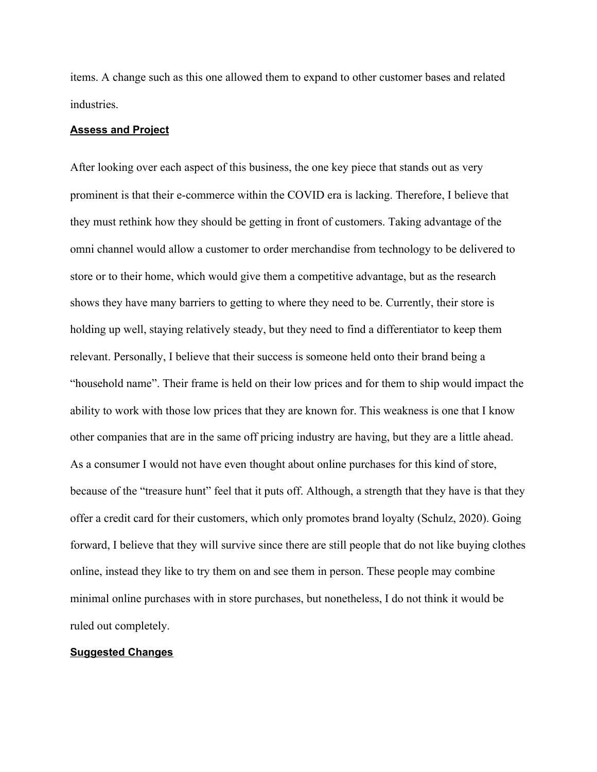items. A change such as this one allowed them to expand to other customer bases and related industries.

## **Assess and Project**

After looking over each aspect of this business, the one key piece that stands out as very prominent is that their e-commerce within the COVID era is lacking. Therefore, I believe that they must rethink how they should be getting in front of customers. Taking advantage of the omni channel would allow a customer to order merchandise from technology to be delivered to store or to their home, which would give them a competitive advantage, but as the research shows they have many barriers to getting to where they need to be. Currently, their store is holding up well, staying relatively steady, but they need to find a differentiator to keep them relevant. Personally, I believe that their success is someone held onto their brand being a "household name". Their frame is held on their low prices and for them to ship would impact the ability to work with those low prices that they are known for. This weakness is one that I know other companies that are in the same off pricing industry are having, but they are a little ahead. As a consumer I would not have even thought about online purchases for this kind of store, because of the "treasure hunt" feel that it puts off. Although, a strength that they have is that they offer a credit card for their customers, which only promotes brand loyalty (Schulz, 2020). Going forward, I believe that they will survive since there are still people that do not like buying clothes online, instead they like to try them on and see them in person. These people may combine minimal online purchases with in store purchases, but nonetheless, I do not think it would be ruled out completely.

#### **Suggested Changes**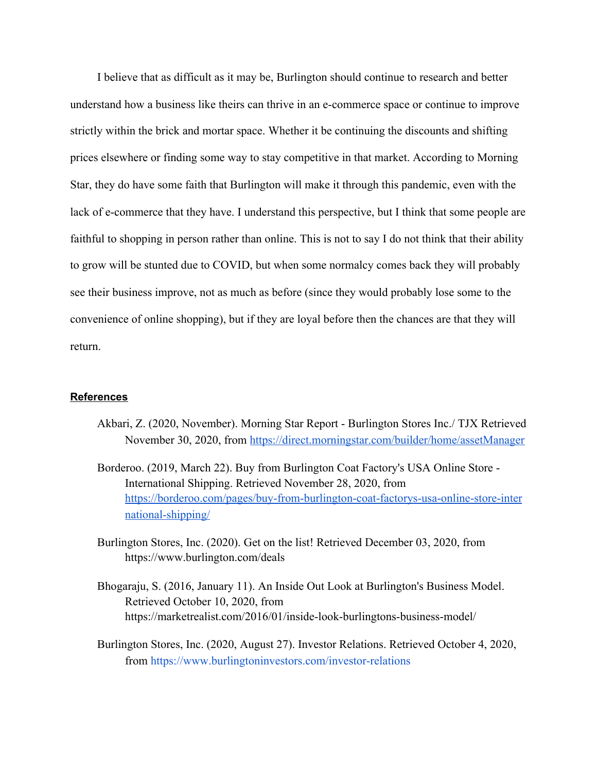I believe that as difficult as it may be, Burlington should continue to research and better understand how a business like theirs can thrive in an e-commerce space or continue to improve strictly within the brick and mortar space. Whether it be continuing the discounts and shifting prices elsewhere or finding some way to stay competitive in that market. According to Morning Star, they do have some faith that Burlington will make it through this pandemic, even with the lack of e-commerce that they have. I understand this perspective, but I think that some people are faithful to shopping in person rather than online. This is not to say I do not think that their ability to grow will be stunted due to COVID, but when some normalcy comes back they will probably see their business improve, not as much as before (since they would probably lose some to the convenience of online shopping), but if they are loyal before then the chances are that they will return.

# **References**

- Akbari, Z. (2020, November). Morning Star Report Burlington Stores Inc./ TJX Retrieved November 30, 2020, from <https://direct.morningstar.com/builder/home/assetManager>
- Borderoo. (2019, March 22). Buy from Burlington Coat Factory's USA Online Store International Shipping. Retrieved November 28, 2020, fro[m](https://borderoo.com/pages/buy-from-burlington-coat-factorys-usa-online-store-international-shipping/) [https://borderoo.com/pages/buy-from-burlington-coat-factorys-usa-online-store-inter](https://borderoo.com/pages/buy-from-burlington-coat-factorys-usa-online-store-international-shipping/) [national-shipping/](https://borderoo.com/pages/buy-from-burlington-coat-factorys-usa-online-store-international-shipping/)
- Burlington Stores, Inc. (2020). Get on the list! Retrieved December 03, 2020, from https://www.burlington.com/deals
- Bhogaraju, S. (2016, January 11). An Inside Out Look at Burlington's Business Model. Retrieved October 10, 2020, from https://marketrealist.com/2016/01/inside-look-burlingtons-business-model/
- Burlington Stores, Inc. (2020, August 27). Investor Relations. Retrieved October 4, 2020, from <https://www.burlingtoninvestors.com/investor-relations>